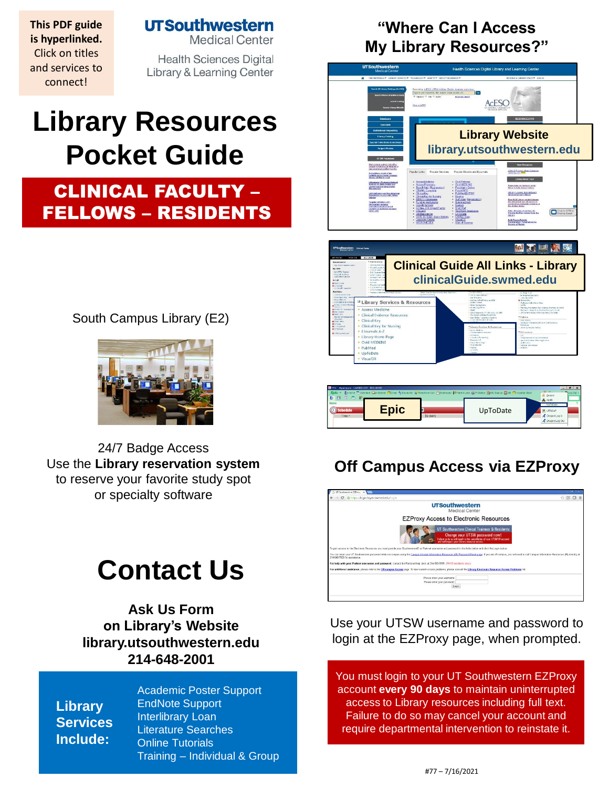**This PDF guide is hyperlinked.**  Click on titles and services to connect!

**UTSouthwestern** 

**Medical Center** 

**Health Sciences Digital Library & Learning Center** 

# **Library Resources Pocket Guide**

## CLINICAL FACULTY – FELLOWS – RESIDENTS

South Campus Library (E2)



24/7 Badge Access Use the **[Library reservation system](https://library.utsouthwestern.edu/main/libreserve.aspx)**  to reserve your favorite study spot or specialty so[ftware](http://library.utsouthwestern.edu/links/linkUsage.cfm?linkID=7124)

# **Contact Us**

**[Ask Us Form](http://library.utsouthwestern.edu/main/portals/jpull2.aspx?6385) on Library's Website library.utsouthwestern.edu [214-648-2001](http://library.utsouthwestern.edu/)**

**Library Services Include:**

[Academic Poster Suppor](http://library.utsouthwestern.edu/main/portals/jpull2.aspx?8444)t [EndNote Support](http://library.utsouthwestern.edu/main/portals/jpull2.aspx?3246) [Interlibrary Loan](http://library.utsouthwestern.edu/main/portals/jpull2.aspx?1876) [Literature Searches](http://library.utsouthwestern.edu/main/portals/jpull2.aspx?3334) [Online Tutorials](http://library.utsouthwestern.edu/main/portals/jpull2.aspx?3896) Training – [Individual & Group](http://library.utsouthwestern.edu/main/portals/jpull2.aspx?2755)

## **"Where Can I Access My Library Resources?"**



| PDC - Hyperspace - CARDIOLOGY - RES LIH MD<br>$11.92 - 11.$<br>Epic ▼ Pyllome B Schedule Ein Bastet Bichart Ry Encounter B Telephone Call FiDeptAppls #FinalentLists 由Pistadion 静RC Signup Eiges Billospital Chart<br><b>M</b> Secure<br>あき<br>医肠 掃 |  |                  |          |                                                                                   |
|-----------------------------------------------------------------------------------------------------------------------------------------------------------------------------------------------------------------------------------------------------|--|------------------|----------|-----------------------------------------------------------------------------------|
| Home<br>hedule<br>Time A                                                                                                                                                                                                                            |  | <b>ID</b> (both) | UpToDate | <b>A</b> Applis<br>UpToDate<br><b>R</b> UTSCAP<br>Cragon Log in<br>Cragon Log Out |
|                                                                                                                                                                                                                                                     |  |                  |          |                                                                                   |

Cinical Evidence Re<br>Clinical Key<br>Clinical Key for Nurs<br>EJournals A-Z<br>Library Home Page<br>Ovid MEDLINE PubMed UpToDat VisualD)

## **Off Campus Access via EZProxy**



Use your UTSW username and password to login at the EZProxy page, when prompted.

You must login to your UT Southwestern EZProxy account **every 90 days** to maintain uninterrupted access to Library resources including full text. Failure to do so may cancel your account and require departmental intervention to reinstate it.